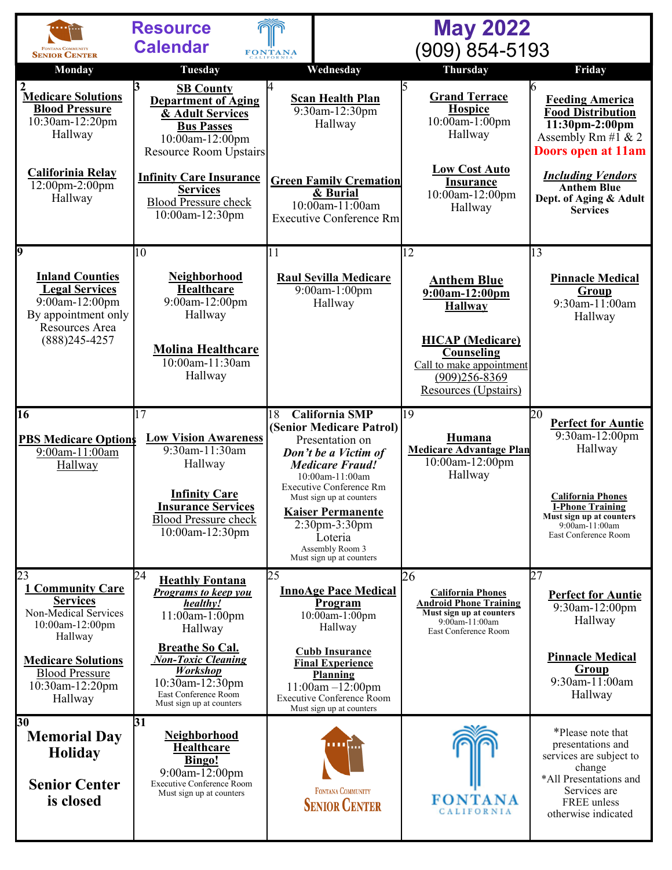|                                                                                                            | <b>Resource</b>                                                                                                                                                 | <b>May 2022</b>                                                                                                                                                                                                                                                                       |                                                                                                                |                                                                                                                                                             |
|------------------------------------------------------------------------------------------------------------|-----------------------------------------------------------------------------------------------------------------------------------------------------------------|---------------------------------------------------------------------------------------------------------------------------------------------------------------------------------------------------------------------------------------------------------------------------------------|----------------------------------------------------------------------------------------------------------------|-------------------------------------------------------------------------------------------------------------------------------------------------------------|
| FONTANA COMMUNITY<br><b>SENIOR CENTER</b>                                                                  | <b>Calendar</b>                                                                                                                                                 | <b>FONTANA</b>                                                                                                                                                                                                                                                                        | (909) 854-5193                                                                                                 |                                                                                                                                                             |
| <b>Monday</b>                                                                                              | <b>Tuesday</b>                                                                                                                                                  | Wednesday                                                                                                                                                                                                                                                                             | Thursday                                                                                                       | Friday                                                                                                                                                      |
| 2<br>Medicare Solutions<br><b>Blood Pressure</b><br>10:30am-12:20pm<br>Hallway                             | 3<br><b>SB County</b><br><b>Department of Aging</b><br>& Adult Services<br><b>Bus Passes</b><br>10:00am-12:00pm<br><b>Resource Room Upstairs</b>                | <b>Scan Health Plan</b><br>9:30am-12:30pm<br>Hallway                                                                                                                                                                                                                                  | <b>Grand Terrace</b><br><b>Hospice</b><br>10:00am-1:00pm<br>Hallway                                            | <b>Feeding America</b><br><b>Food Distribution</b><br>11:30pm-2:00pm<br>Assembly Rm #1 & 2<br><b>Doors open at 11am</b>                                     |
| Califorinia Relay<br>12:00pm-2:00pm<br>Hallway                                                             | <b>Infinity Care Insurance</b><br><b>Services</b><br><b>Blood Pressure check</b><br>10:00am-12:30pm                                                             | <b>Green Family Cremation</b><br>& Burial<br>$10:00$ am- $11:00$ am<br><b>Executive Conference Rm</b>                                                                                                                                                                                 | <b>Low Cost Auto</b><br><b>Insurance</b><br>10:00am-12:00pm<br>Hallway                                         | <b>Including Vendors</b><br><b>Anthem Blue</b><br>Dept. of Aging & Adult<br><b>Services</b>                                                                 |
| 9                                                                                                          | 10                                                                                                                                                              | 11                                                                                                                                                                                                                                                                                    | $\overline{12}$                                                                                                | 13                                                                                                                                                          |
| <b>Inland Counties</b><br><b>Legal Services</b><br>9:00am-12:00pm<br>By appointment only<br>Resources Area | Neighborhood<br><b>Healthcare</b><br>9:00am-12:00pm<br>Hallway                                                                                                  | <b>Raul Sevilla Medicare</b><br>9:00am-1:00pm<br>Hallway                                                                                                                                                                                                                              | <b>Anthem Blue</b><br>$9:00am-12:00pm$<br><b>Hallway</b>                                                       | <b>Pinnacle Medical</b><br>Group<br>9:30am-11:00am<br>Hallway                                                                                               |
| $(888)$ 245-4257                                                                                           | <b>Molina Healthcare</b><br>10:00am-11:30am<br>Hallway                                                                                                          |                                                                                                                                                                                                                                                                                       | <b>HICAP</b> (Medicare)<br>Counseling<br>Call to make appointment<br>$(909)256 - 8369$<br>Resources (Upstairs) |                                                                                                                                                             |
| $\overline{16}$                                                                                            | 17                                                                                                                                                              | <b>California SMP</b><br>18                                                                                                                                                                                                                                                           | 19                                                                                                             | 20<br><b>Perfect for Auntie</b>                                                                                                                             |
| <b>PBS Medicare Options</b><br>9:00am-11:00am<br>Hallway                                                   | <b>Low Vision Awareness</b><br>9:30am-11:30am<br>Hallway<br><b>Infinity Care</b><br><b>Insurance Services</b><br><b>Blood Pressure check</b><br>10:00am-12:30pm | (Senior Medicare Patrol)<br>Presentation on<br>Don't be a Victim of<br><b>Medicare Fraud!</b><br>10:00am-11:00am<br><b>Executive Conference Rm</b><br>Must sign up at counters<br><b>Kaiser Permanente</b><br>2:30pm-3:30pm<br>Loteria<br>Assembly Room 3<br>Must sign up at counters | Humana<br><b>Medicare Advantage Plan</b><br>10:00am-12:00pm<br>Hallway                                         | 9:30am-12:00pm<br>Hallway<br><b>California Phones</b><br><b>I-Phone Training</b><br>Must sign up at counters<br>9:00am-11:00am<br>East Conference Room      |
| 23<br><b>1 Community Care</b>                                                                              | $\overline{24}$<br><b>Heathly Fontana</b><br><b>Programs to keep you</b>                                                                                        | 25<br><b>InnoAge Pace Medical</b>                                                                                                                                                                                                                                                     | 26<br><b>California Phones</b>                                                                                 | 27                                                                                                                                                          |
| <b>Services</b><br>Non-Medical Services<br>10:00am-12:00pm<br>Hallway                                      | healthy!<br>11:00am-1:00pm<br>Hallway                                                                                                                           | Program<br>10:00am-1:00pm<br>Hallway                                                                                                                                                                                                                                                  | <b>Android Phone Training</b><br>Must sign up at counters<br>$9:00$ am-11:00am<br>East Conference Room         | <b>Perfect for Auntie</b><br>9:30am-12:00pm<br>Hallway                                                                                                      |
| <b>Medicare Solutions</b><br><b>Blood Pressure</b><br>10:30am-12:20pm<br>Hallway                           | <b>Breathe So Cal.</b><br><b>Non-Toxic Cleaning</b><br><b>Workshop</b><br>10:30am-12:30pm<br>East Conference Room<br>Must sign up at counters                   | <b>Cubb Insurance</b><br><b>Final Experience</b><br>Planning<br>$11:00am - 12:00pm$<br><b>Executive Conference Room</b><br>Must sign up at counters                                                                                                                                   |                                                                                                                | <b>Pinnacle Medical</b><br>Group<br>$9:30$ am-11:00am<br>Hallway                                                                                            |
| 30<br><b>Memorial Day</b><br><b>Holiday</b><br><b>Senior Center</b><br>is closed                           | 31<br>Neighborhood<br><b>Healthcare</b><br>Bingo!<br>9:00am-12:00pm<br>Executive Conference Room<br>Must sign up at counters                                    | u u<br><b>FONTANA COMMUNITY</b><br><b>SENIOR CENTER</b>                                                                                                                                                                                                                               | <b>FONTANA</b><br><b>CALIFORNIA</b>                                                                            | *Please note that<br>presentations and<br>services are subject to<br>change<br>*All Presentations and<br>Services are<br>FREE unless<br>otherwise indicated |